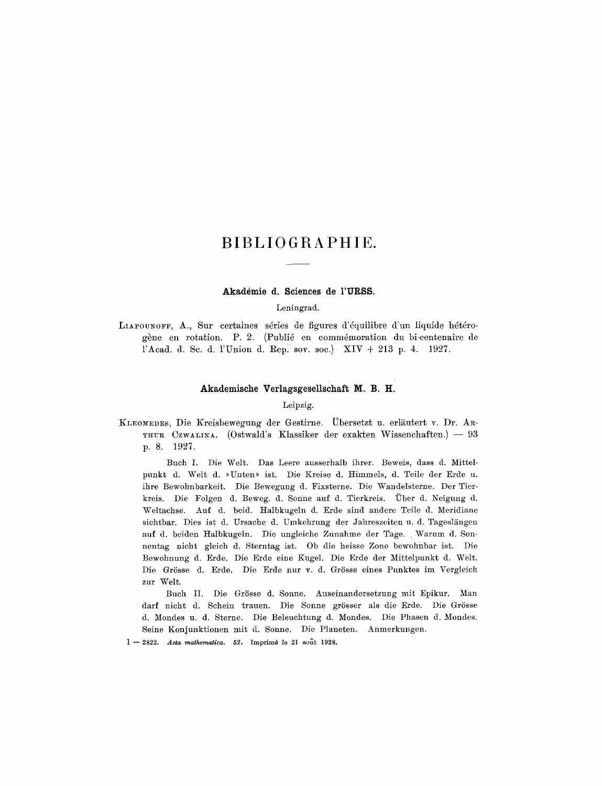# BIBLIOGRAPHIE.

### Akadémie d. Sciences de l'URSS.

Leningrad.

LIAPOUNOFF, A., Sur certaines séries de figures d'équilibre d'un liquide hétérogène en rotation. P. 2. (Publié en commémoration du bi-centenaire de l'Acad. d. Sc. d. l'Union d. Rep. sov. soc.)  $XIV + 213$  p. 4. 1927.

# Akademische Verlagsgesellschaft M. B. H.

Leipzig.

KLEOMEDES, Die Kreisbewegung der Gestirne. Übersetzt u. erläutert v. Dr. AR-THUR CZWALINA. (Ostwald's Klassiker der exakten Wissenchaften.) - 93 p. 8. 1927.

Buch I. Die Welt. Das Leere ausserhalb ihrer. Beweis, dass d. Mittelpunkt d. Welt d. »Unten» ist. Die Kreise d. Himmels, d. Teile der Erde u. ihre Bewohnbarkeit. Die Bewegung d. Fixsterne. Die Wandelsterne. Der Tierkreis. Die Folgen d. Beweg. d. Sonne auf d. Tierkreis. Über d. Neigung d. Weltachse. Auf d. beid. Halbkugeln d. Erde sind andere Teile d. Meridiane sichtbar. Dies ist d. Ursache d. Umkehrung der Jahreszeiten u. d. Tageslängen auf d. beiden Halbkugeln. Die ungleiche Zunahme der Tage. Warum d. Sonnentag nicht gleich d. Sterntag ist. Ob die heisse Zone bewohnbar ist. Die Bewohnung d. Erde. Die Erde eine Kugel. Die Erde der Mittelpunkt d. Welt. Die Grösse d. Erde. Die Erde nur v. d. Grösse eines Punktes im Vergleich zur Welt.

Buch II. Die Grösse d. Sonne. Auseinandersetzung mit Epikur. Man darf nicht d. Schein trauen. Die Sonne grösser als die Erde. Die Grösse d. Mondes u. d. Sterne. Die Beleuchtung d. Mondes. Die Phasen d. Mondes. Seine Konjunktionen mit d. Sonne. Die Planeten. Anmerkungen.

 $1 - 2822$ . Acta mathematica. 52. Imprimé le 21 août 1928.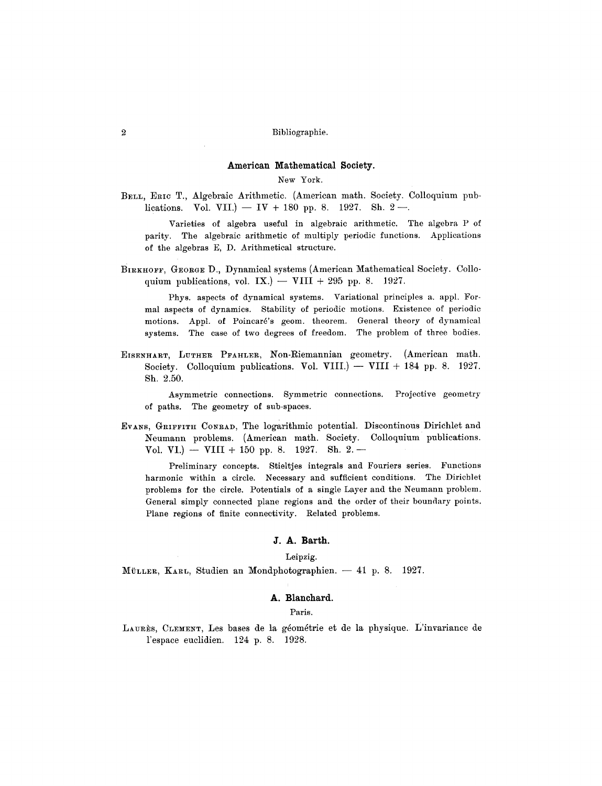#### **American Mathematical Society.**

# New York.

BELL, ERIC T., Algebraic Arithmetic. (American math. Society. Colloquium publications. Vol. VII.)  $-$  IV + 180 pp. 8. 1927. Sh. 2 $-$ .

Varieties of algebra useful in algebraic arithmetic. The algebra P of parity. The algebraic arithmetic of multiply periodic functions. Applications of the algebras E, D. Arithmetical structure.

BIRKHOFF, GEORGE D., Dynamical systems (American Mathematical Society. Colloquium publications, vol. IX.) -- VIII + 295 pp. 8. 1927.

Phys. aspects of dynamical systems. Variational principles a. appl. Formal aspects of dynamics. Stability of periodic motions. Existence of periodic motions. Appl. of Poincaré's geom. theorem. General theory of dynamical systems. The case of two degrees of freedom. The problem of three bodies.

EISENHART, LUTHER PFAHLER, Non-Riemannian geometry. (American math. Society. Colloquium publications. Vol. VIII.)  $-$  VIII + 184 pp. 8. 1927. Sh. 2.50.

Asymmetric connections. Symmetric connections. Projective geometry of paths. The geometry of sub-spaces.

EVANS, GRIFFITH CONRAD, The logarithmic potential. Discontinous Dirichlet and Neumann problems. (American math. Society. Colloquium publications. Vol. VI.) -- VIII + 150 pp. 8. 1927. Sh. 2.-

Preliminary concepts. Stieltjes integrals and Fouriers series. Functions harmonic within a circle. Necessary and sufficient conditions. The Dirichlet problems for the circle. Potentials of a single Layer and the Neumann problem. General simply connected plane regions and the order of their boundary points. Plane regions of finite connectivity. Related problems.

# **J. A. Barth.**

Leipzig.

MÜLLER, KARL, Studien an Mondphotographien. -- 41 p. 8. 1927.

# **A. Blanchard.**

#### Paris.

LAURÈS, CLEMENT, Les bases de la géométrie et de la physique. L'invariance de l'espace euclidien. 124 p. 8. 1928.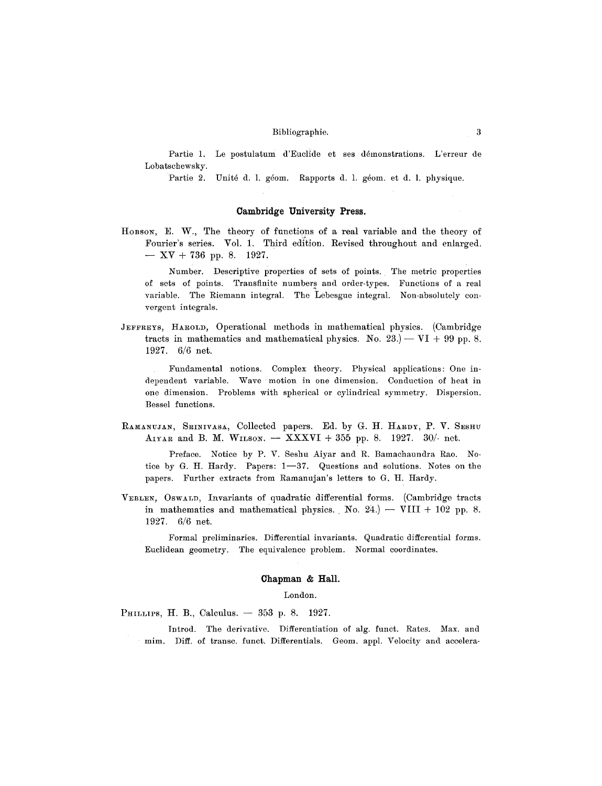Partie 1. Le postulatum d'Euclide et ses démonstrations. L'erreur de Lobatschewsky.

Partie 2. Unité d. l. géom. Rapports d. l. géom. et d. l. physique.

# **Cambridge University Press.**

HOBSON, E. W., The theory of functions of a real variable and the theory of Fourier's series. Vol. 1. Third edition. Revised throughout and enlarged.  $- XY + 736$  pp. 8. 1927.

Number. Descriptive properties of sets of points. The metric properties of sets of points. Transfinite numbers and order-types. Functions of a real variable. The Riemann integral. The Lebesgue integral. Non-absolutely convergent integrals.

JEFFREYS, HAROLD, Operational methods in mathematical physics. (Cambridge tracts in mathematics and mathematical physics. No.  $23.$   $-$  VI + 99 pp. 8. 1927. 6/6 net.

Fundamental notions. Complex theory. Physical applications: One independent variable. Wave motion in one dimension. Conduction of heat in one dimension. Problems with spherical or cylindrical symmetry. Dispersion. Bessel functions.

RAMANUJAN, SRINIVASA, Collected papers. Ed. by G. H. HARDY, P. V. SESHU AIYAR and B. M. WILSON.  $-$  XXXVI + 355 pp. 8. 1927. 30/- net.

Preface. Notice by P. V. Seshu Aiyar and R. Bamachaundra Rao. Notice by G. H. Hardy. Papers:  $1-37$ . Questions and solutions. Notes on the papers. Further extracts from Ramanujan's letters to G. H. Hardy.

VEBLEN, OSWALD, Invariants of quadratic differential forms. (Cambridge tracts in mathematics and mathematical physics. No. 24.) -- VIII + 102 pp. 8. 1927. 6/6 net.

Formal preliminaries. Differential invariants. Quadratic differential forms. Euclidean geometry. The equivalence problem. Normal coordinates.

# **Chapman & Hall.**

# London.

PHILLIPS, H. B., Calculus.  $-353$  p. 8. 1927.

Introd. The derivative. Differentiation of alg. funct. Rates. Max. and mim. Diff. of transc, funct. Differentials. Geom. appl. Velocity and accelera-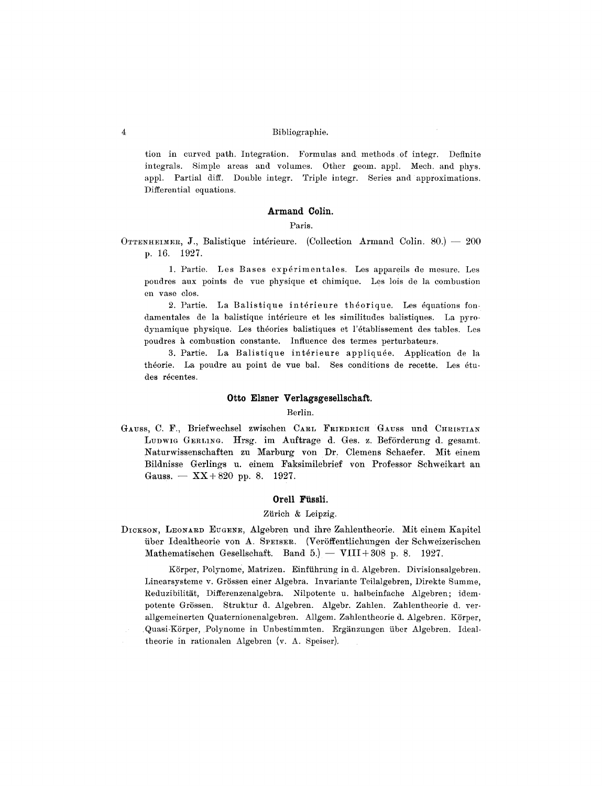tion in curved path. Integration. Formulas and methods of integr. Definite integrals. Simple areas and volumes. Other geom. appl. Mech. and phys. appl. Partial diff. Double integr. Triple integr. Series and approximations. Differential equations.

# **Armand Colin.**

#### Paris.

OTTENHEIMER, J., Balistique intérieure. (Collection Armand Colin. 80.) -- 200 p. 16. 1927.

1. Partie. Les Bases expérimentales. Les appareils de mesure. Les poudres aux points de rue physique et chimique. Les lois de la combustion en vase clos.

2. Partie. La Balistique intérieure théorique. Les équations fondamentales de la balistique intérieure et les similitudes balistiques. La pyrodynamique physique. Les theories balistiques et l'6tablissement des tables. Les poudres à combustion constante. Influence des termes perturbateurs.

3. Partie. La Balistique intérieure appliquée. Application de la théorie. La poudre au point de vue bal. Ses conditions de recette. Les études récentes.

# Otto Elsner Verlagsgesellschaft.

### Berlin.

GAUSS, C. F., Briefwechsel zwischen CARL FRIEDRICH GAUSS und CHRISTIAN Ludwig Gerling. Hrsg. im Auftrage d. Ges. z. Beförderung d. gesamt. Naturwissenschaften zu Marburg yon Dr. Clemens Schaefer. Mit einem Bildnisse Gerlings u. einem Faksimilebrief yon Professor Schweikart an Gauss.  $-$  XX+820 pp. 8. 1927.

# **Orell Fiissli.**

### Zürich & Leipzig.

DICKSON, LEONARD EUGENE, Algebren und ihre Zahlentheorie. Mit einem Kapitel über Idealtheorie von A. SPEISER. (Veröffentlichungen der Schweizerischen Mathematischen Gesellschaft. Band 5.) -- VIII+308 p. 8. 1927.

KSrper, Polynome, Matrizen. Einffihrung in d. Algebren. Divisionsalgebren. Linearsysteme v. Grössen einer Algebra. Invariante Teilalgebren, Direkte Summe, Reduzibilität, Differenzenalgebra. Nilpotente u. halbeinfache Algebren; idempotente Grössen. Struktur d. Algebren. Algebr. Zahlen. Zahlentheorie d. verallgemeinerten Quaternionenalgebren. Allgem. Zahlentheorie d. Algebren. Körper, Quasi-Körper, Polynome in Unbestimmten. Ergänzungen über Algebren. Idealtheorie in rationalen Algebren (v. A. Speiser).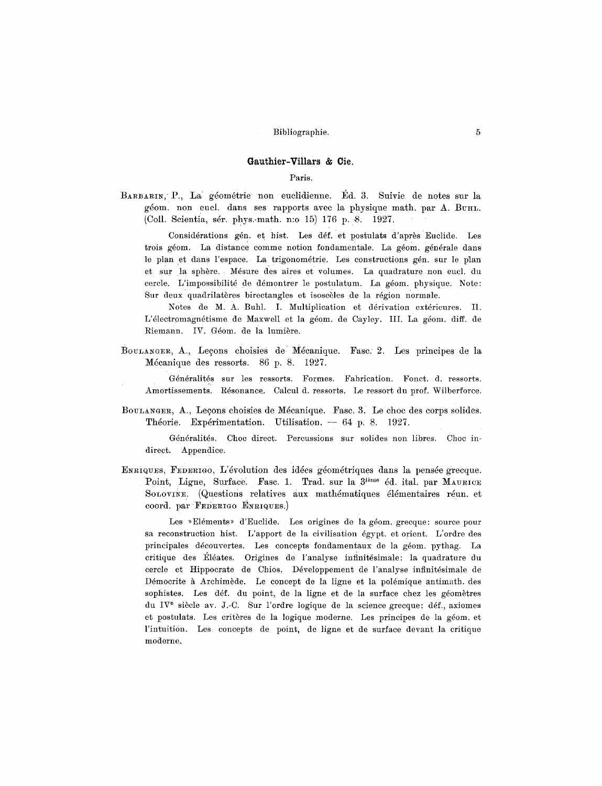# **Gauthier-Villars & Cie.**

# Paris.

BARBARIN, P., La géométrie non euclidienne. Éd. 3. Suivie de notes sur la géom. non eucl. dans ses rapports avec la physique math. par A. BUHL. (Coll. Scientia, sér. phys.-math. n:o 15) 176 p. 8. 1927.

Considérations gén. et hist. Les déf. et postulats d'après Euclide. Les trois géom. La distance comme notion fondamentale. La géom. générale dans le plan et dans l'espace. La trigonométrie. Les constructions gén. sur le plan et sur la sphère. Mésure des aires et volumes. La quadrature non eucl. du cercle. L'impossibilité de démontrer le postulatum. La géom. physique. Note: Sur deux quadrilatères birectangles et isoscèles de la région normale.

Notes de M. A. Buhl. I. Multiplication et dérivation extérieures. Il. L'électromagnétisme de Maxwell et la géom. de Cayley. III. La géom. diff. de Riemann. IV. Géom. de la lumière.

BOULANGER, A., Leçons choisies de Mécanique. Fasc. 2. Les principes de la M6eanique des ressorts. 86 p. 8. 1927.

Généralités sur les ressorts. Formes. Fabrication. Fonct. d. ressorts. Amortissements. R6sonance. Calcul d. ressorts, Le ressort du prof. Wilberforce.

BOULANGER, A., Leçons choisies de Mécanique. Fasc. 3. Le choc des corps solides. Théorie. Expérimentation. Utilisation. -- 64 p. 8. 1927.

G6n6ralit6s. Choc direct. Percussions sur solides non libres. Choc indirect. Appendice.

ENRIQUES, FEDERIGO, L'évolution des idées géométriques dans la pensée grecque. Point, Ligne, Surface. Fasc. 1. Trad. sur la  $3^{i\text{time}}$  éd. ital. par MAURICE SOLOVINE. (Questions relatives aux mathématiques élémentaires réun. et coord, par FEDERIGO ENRIQUES.)

Les »Eléments» d'Euclide. Les origines de la géom. grecque: source pour sa reconstruction hist. L'apport de la civilisation 6gypt. et orient. L'ordre des principales découvertes. Les concepts fondamentaux de la géom. pythag. La critique des Éléates. Origines de l'analyse infinitésimale: la quadrature du cercle et Hippocrate de Chios. Développement de l'analyse infinitésimale de Démocrite à Archimède. Le concept de la ligne et la polémique antimath, des sophistes. Les déf. du point, de la ligne et de la surface chez les géomètres du IV<sup>e</sup> siècle av. J.-C. Sur l'ordre logique de la science grecque: déf., axiomes et postulats. Les critères de la logique moderne. Les principes de la géom. et l'intuition. Les concepts de point, de ligne et de surface devant la critique moderne.~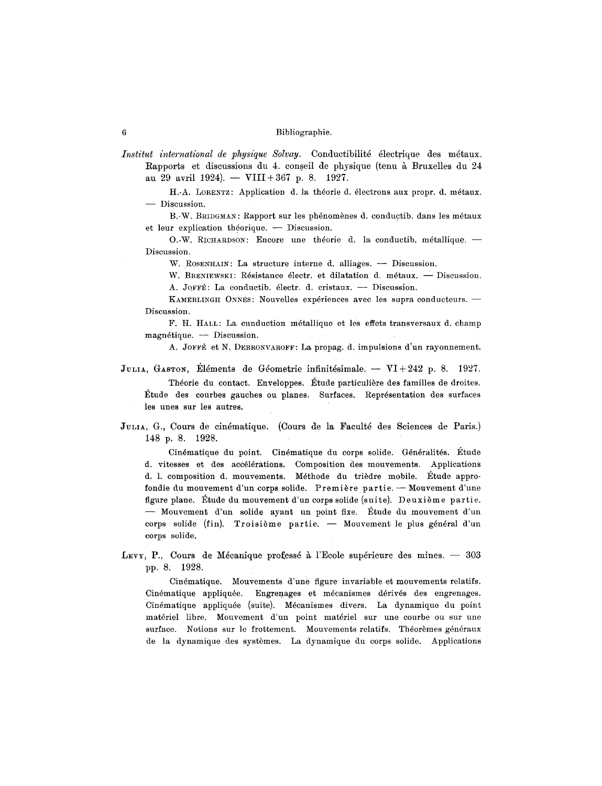*Institut international de physique Solvay.* Conductibilité électrique des métaux. Rapports et discussions du 4. conseil de physique (tenu à Bruxelles du 24 au 29 avril 1924). -- VIII + 367 p. 8. 1927.

H.-A. LORENTZ: Application d. la théorie d. électrons aux propr. d. métaux. - Discussion.

B.-W. BRIDGMAN: Rapport sur les phénomènes d. conductib. dans les métaux et leur explication théorique. - Discussion.

O.-W. RICHARDSON: Encore une théorie d. la conductib. métallique.  $-$ Discussion.

W. ROSENHAIN: La structure interne d. alliages. -- Discussion.

W. BRENIEWSKI: Résistance électr. et dilatation d. métaux. - Discussion. A. JOFFÉ: La conductib. électr. d. cristaux. - Discussion.

KAMERLINGH ONNES: Nouvelles expériences avec les supra conducteurs. -Discussion.

F. H. HALL: La cunduction m6tallique et les effets transversaux d. champ  $magnétique. -<sub>1</sub> Discussion.$ 

A. JOFFÉ et N. DEBRONVAROFF: La propag. d. impulsions d'un rayonnement.

JULIA, GASTON, Eléments de Géometrie infinitésimale. -- VI+242 p. 8. 1927. Théorie du contact. Enveloppes. Étude particulière des familles de droites. ]~tude des courbes gauches ou planes. Surfaces. Repr6sentation des surfaces les unes sur les autres.

Julia, G., Cours de cinématique. (Cours de la Faculté des Sciences de Paris.) 148 p. 8. 1928.

Cinématique du point. Cinématique du corps solide. Généralités. Etude d. vitesses et des accelerations. Composition des mouvements. Applications d. 1. composition d. mouvements. Méthode du trièdre mobile. Étude approfondie du mouvement d'un corps solide. Première partie. - Mouvement d'une figure plane. Étude du mouvement d'un corps solide (suite). Deuxième partie. -- Mouvement d'un solide ayant un point fixe. Étude du mouvement d'un corps solide (fin). Troisième partie. - Mouvement le plus général d'un corps solide.

LEVY, P., Cours de Mécanique professé à l'Ecole supérieure des mines.  $-$  303 pp. 8. 1928.

Cin4matique. Mouvements d'une figure invariable et mouvements relatifs. Cinématique appliquée. Engrenages et mécanismes dérivés des engrenages. Cinématique appliquée (suite). Mécanismes divers. La dynamique du point materiel libre. Mouvement d'un point matdriel sur une courbe ou sur une surface. Notions sur le frottement. Mouvements relatifs. Théorèmes généraux de la dynamique des systèmes. La dynamique du corps solide. Applications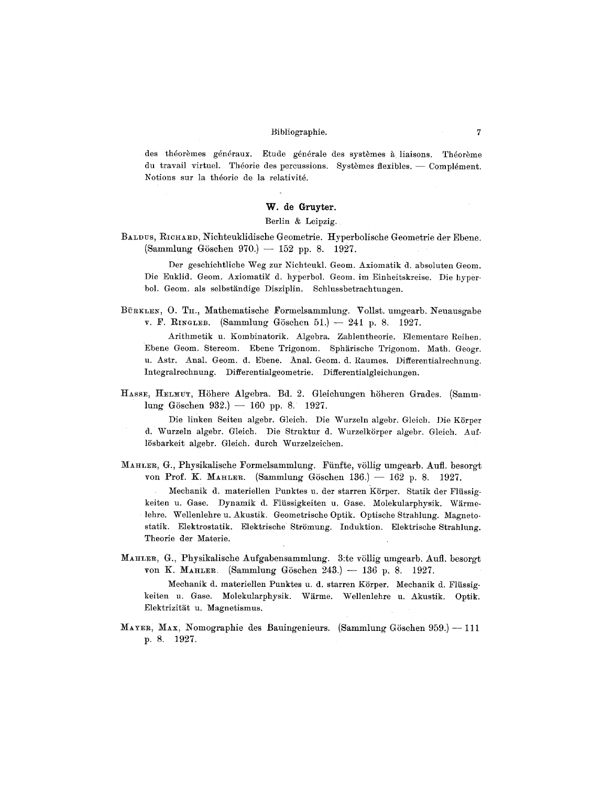des théorèmes généraux. Etude générale des systèmes à liaisons. Théorème du travail virtuel. Théorie des percussions. Systèmes flexibles.  $-$  Complément. Notions sur la théorie de la relativité.

### **W. de Gruyter.**

### Berlin & Leipzig.

BALDUS, RICHARD, Nichteuklidische Geometrie. Hyperbolische Geometrie der Ebene.  $(Sammlung Göschen 970.) - 152 pp. 8. 1927.$ 

Der geschichtliche Weg zur Nichteukl. Geom. Axiomatik d. absoluten Geom. Die Euklid. Geom. Axiomatik d. hyperbol. Geom. im Einheitskreise. Die hyperbol. Geom. als selbständige Disziplin. Schlussbetrachtungen.

BürkLEN, O. TH., Mathematische Formelsammlung. Vollst. umgearb. Neuausgabe v. F. RINGLEB. (Sammlung Göschen 51.)  $-241$  p. 8. 1927.

Arithmetik u. Kombinatorik. Algebra. Zahlentheorie. Elementare Reihen. Ebene Geom. Stereom. Ebene Trigonom. Sphärische Trigonom. Math. Geogr. u. Astr. Anal. Geom. d. Ebene. Anal. Geom. d. Raumes. Differentialrechnung. Integralrechnung. Differentialgeometrie. Differentialgleichungen.

HASSE, HELMUT, Höhere Algebra. Bd. 2. Gleichungen höheren Grades. (Samm $lung Göschen 932.$   $- 160$  pp. 8. 1927.

Die linken Seiten algebr. Gleich. Die Wurzeln algebr. Gleich. Die Körper d. Wurzeln algebr. Gleich. Die Struktur d. Wurzelkörper algebr. Gleich. Auf-15sbarkeit a]gebr. Gleich. durch Wurzelzeichen.

MAHLER, G., Physikalische Formelsammlung. Fünfte, völlig umgearb. Aufl. besorgt von Prof. K. MAHLER. (Sammlung Göschen 136.) -- 162 p. 8. 1927.

Mechanik d. materiellen Punktes u. der starren Körper. Statik der Flüssigkeiten u. Gase. Dynamik d. Flüssigkeiten u. Gase. Molekularphysik. Wärmelehre. Wellenlehre u. Akustik. Geometrische Optik. Optische Strahlung. Magnetostatik. Elektrostatik. Elektrische Strömung. Induktion. Elektrische Strahlung. Theorie der Materie.

MAHLER, G., Physikalische Aufgabensammlung. 3:te völlig umgearb. Aufl. besorgt von K. MAHLER. (Sammlung Göschen 243.) -- 136 p. 8. 1927. Mechanik d. materiellen Punktes u. d. starren Körper. Mechanik d. Flüssigkeiten u. Gase. Molekularphysik. Wiirme. Wellenlehre u. Akustik. Optik.

Elektrizität u. Magnetismus. MAYER, MAX, Nomographie des Bauingenieurs. (Sammlung Göschen 959.) -- 111

p. 8. 1927.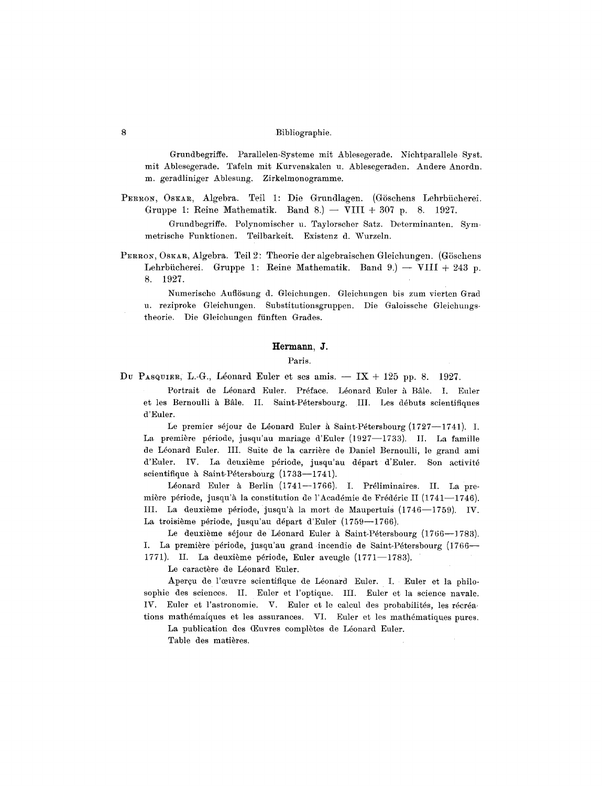Grundbegriffe. Parallelen-Systeme mit Ablesegerade. Nichtparallele Syst. mit Ablesegerade. Tafeln mit Knrvenskalen u. Ablesegeraden. Andere Anordn. m. geradliniger Ablesung. Zirkelmonogramme.

PERRON, OSKAR, Algebra. Teil 1: Die Grundlagen. (Göschens Lehrbücherei. Gruppe 1: Reine Mathematik. Band 8.)  $-$  VIII + 307 p. 8. 1927. Grundbegriffe. Polynomischer u. Taylorscher Satz. Determinanten. Sym-

metrische Funktionen. Teilbarkeit. Existenz d. Wurzeln.

PERRON, OSKAR, Algebra. Teil 2: Theorie der algebraischen Gleichungen. (Göschens Lehrbücherei. Gruppe 1: Reine Mathematik. Band 9.) -- VIII + 243 p. 8. 1927.

Numerische Auflösung d. Gleichungen. Gleichungen bis zum vierten Grad u. reziproke Gleichungen. Substitutionsgruppen. Die Galoissche Gleichungstheorie. Die Gleichungen fünften Grades.

# **Hermann, J.**

#### Paris.

Du PASQUIER, L.-G., Léonard Euler et ses amis.  $-$  IX + 125 pp. 8. 1927.

Portrait de Léonard Euler. Préface. Léonard Euler à Bâle. I. Euler et les Bernoulli à Bâle. II. Saint-Pétersbourg. III. Les débuts scientifiques d'Euler.

Le premier séjour de Léonard Euler à Saint-Pétersbourg (1727--1741). I. La première période, jusqu'au mariage d'Euler (1927--1733). II. La famille de Léonard Euler. III. Suite de la carrière de Daniel Bernoulli, le grand ami d'Euler. IV. La deuxième période, jusqu'au départ d'Euler. Son activité scientifique à Saint-Pétersbourg (1733--1741).

Léonard Euler à Berlin (1741--1766). I. Préliminaires. II. La première période, jusqu'à la constitution de l'Académie de Frédéric II (1741--1746). III. La deuxième période, jusqu'à la mort de Maupertuis (1746--1759). IV. La troisième période, jusqu'au départ d'Euler (1759--1766).

Le deuxième séjour de Léonard Euler à Saint-Pétersbourg (1766--1783). I. La première période, jusqu'au grand incendie de Saint-Pétersbourg (1766--1771). II. La deuxième période, Euler aveugle  $(1771-1783)$ .

Le caractère de Léonard Euler.

Aperçu de l'œuvre scientifique de Léonard Euler. I. Euler et la philosophie des sciences. II. Euler et l'optique. III. Euler et la science navale. 1V. Euler et l'astronomie. V. Euler et le calcul des probabilités, les récréations mathémaiques et les assurances. VI. Euler et les mathématiques pures.

La publication des Œuvres complètes de Léonard Euler. Table des matières.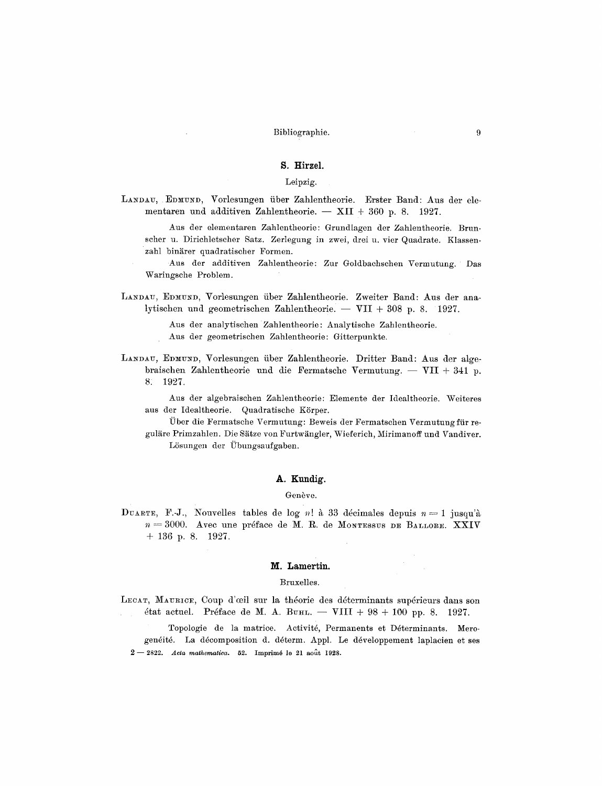# S. Hirzel.

# Leipzig.

LANDAU, EDMUND, Vorlesungen über Zahlentheorie. Erster Band: Aus der elementaren und additiven Zahlentheorie. - XII + 360 p. 8. 1927.

Aus der elementaren Zahlentheorie: Grundlagen der Zahlentheorie. Brunscher u. Dirichletscher Satz. Zerlegung in zwei, drei u. vier Quadrate. Klassenzahl binärer quadratischer Formen.

Aus der additiven Zahlentheorie: Zur Goldbachschen Vermutung. Das Waringsche Problem.

LANDAU, EDMUND, Vorlesungen über Zahlentheorie. Zweiter Band: Aus der analytischen und geometrischen Zahlentheorie.  $-$  VII + 308 p. 8. 1927.

Aus der analytischen Zahlentheorie: Analytische Zahlentheorie.

Aus der geometrischen Zahlentheorie: Gitterpunkte.

LANDAU, EDMUND, Vorlesungen über Zahlentheorie. Dritter Band: Aus der algebraischen Zahlentheorie und die Fermatsche Vermutung. - VII + 341 p. 8. 1927.

Aus der algebraischen Zahlentheorie: Elemente der Idealtheorie. Weiteres aus der Idealtheorie. Quadratische Körper.

Über die Fermatsche Vermutung: Beweis der Fermatschen Vermutung für reguläre Primzahlen. Die Sätze von Furtwängler, Wieferich, Mirimanoff und Vandiver. Lösungen der Übungsaufgaben.

# A. Kundig.

### Genève.

DUARTE, F.-J., Nouvelles tables de log n! à 33 décimales depuis  $n=1$  jusqu'à  $n = 3000$ . Avec une préface de M. R. de MONTESSUS DE BALLORE. XXIV  $+ 136$  p. 8. 1927.

#### M. Lamertin.

### Bruxelles.

LECAT, MAURICE, Coup d'œil sur la théorie des déterminants supérieurs dans son état actuel. Préface de M. A. BUHL. - VIII + 98 + 100 pp. 8. 1927.

Topologie de la matrice. Activité, Permanents et Déterminants. Merogenéité. La décomposition d. déterm. Appl. Le développement laplacien et ses  $2-2822$ . Acta mathematica. 52. Imprimé le 21 août 1928.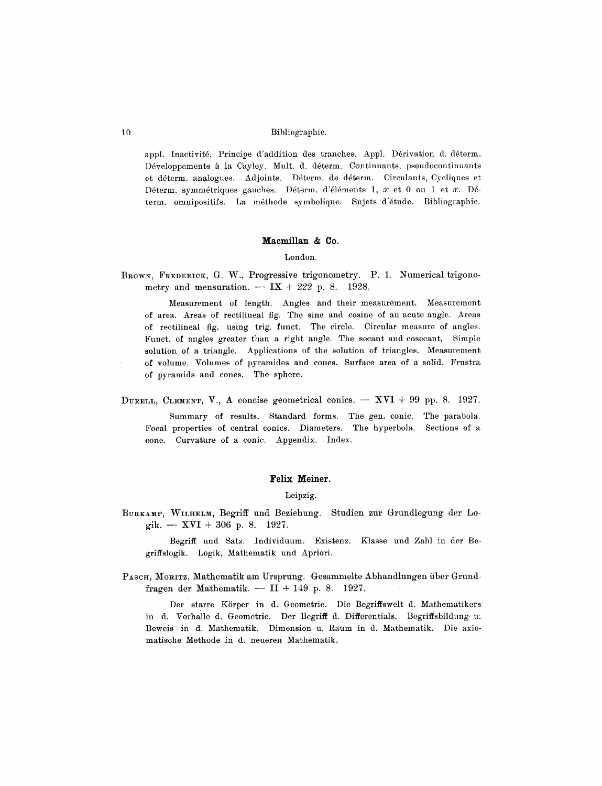appl. Inactivité. Principe d'addition des tranches. Appl. Dérivation d. déterm. Développements à la Cayley. Mult. d. déterm. Continuants, pseudocontinuants et déterm. analogues. Adjoints. Déterm. de déterm. Circulants, Cycliques et Déterm. symmétriques gauches. Déterm. d'éléments 1,  $x$  et 0 ou 1 et  $x$ . Déterm. omnipositifs. La méthode symbolique. Sujets d'étude. Bibliographie.

#### Macmillan & Co.

# London.

BROWN, FREDERICK, G. W., Progressive trigonometry. P. 1. Numerical trigonometry and mensuration.  $-$  IX + 222 p. 8. 1928.

Measurement of length. Angles and their measurement. Measurement of area. Areas of rectilineal fig. The sine and cosine of an acute angle. Areas of rectilineal fig. using trig. funct. The circle. Circular measure of angles. Funct. of angles greater than a right angle. The secant and cosecant. Simple solution of a triangle. Applications of the solution of triangles. Measurement of volume. Volumes of pyramides and cones. Surface area of a solid. Frustra of pyramids and cones. The sphere.

DURELL, CLEMENT, V., A concise geometrical conics.  $-$  XVI + 99 pp. 8. 1927.

Summary of results. Standard forms. The gen. conic. The parabola. Focal properties of central conics. Diameters. The hyperbola. Sections of a cone. Curvature of a conic. Appendix. Index.

# Felix Meiner.

# Leipzig.

BURKAMP, WILHELM, Begriff und Beziehung. Studien zur Grundlegung der Logik. - XVI + 306 p. 8. 1927.

Begriff und Satz. Individuum. Existenz. Klasse und Zahl in der Begriffslogik. Logik, Mathematik und Apriori.

PASCH, MORITZ, Mathematik am Ursprung. Gesammelte Abhandlungen über Grundfragen der Mathematik. -  $II + 149$  p. 8. 1927.

Der starre Körper in d. Geometrie. Die Begriffswelt d. Mathematikers in d. Vorhalle d. Geometrie. Der Begriff d. Differentials. Begriffsbildung u. Beweis in d. Mathematik. Dimension u. Raum in d. Mathematik. Die axiomatische Methode in d. neueren Mathematik.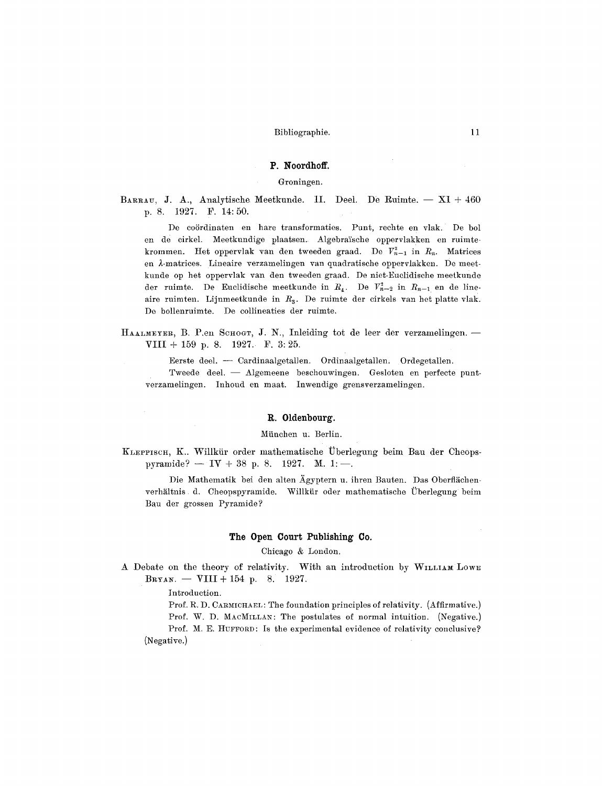# **P. Noordhoff.**

# Groningen.

BARRAU, J. A., Analytische Meetkunde. II. Deel. De Ruimte.  $- XI + 460$ p. 8. 1927. F. 14:50.

De coördinaten en hare transformaties. Punt, rechte en vlak. De bol en de cirkel. Meetkundige plaatsen. Algebraïsche oppervlakken en ruimtekrommen. Het oppervlak van den tweeden graad. De  $V_{n-1}^2$  in  $R_n$ . Matrices en £-matrices. Lineaire verzamelingen van quadratische oppervlakken. De meetkunde op her oppervlak van den tweeden graad. De niet-Euclidische meetkunde der ruimte. De Euclidische meetkunde in  $R_4$ . De  $V_{n-2}^2$  in  $R_{n-1}$  en de lineaire ruimten. Lijnmeetkunde in  $R_3$ . De ruimte der cirkels van het platte vlak. De bollenruimte. De collineaties der ruimte.

HAALMEYER, B. P.en SCHOGT, J. N., Inleiding tot de leer der verzamelingen. -VIII+ 159 p. 8. 1927. F. 3:25.

Eerste deel. -- Cardinaalgetal]en. Ordinaalgetallen, Ordegetallen. Tweede deel. -- Algemeene beschouwingen. Gesloten en perfecte puntverzamelingen. Inhoud en maat. Inwendige grensverzamelingen.

#### **R. 01denbourg.**

# Miinchen u: Berlin.

KLEFPISCH, K.. Willkür order mathematische Überlegung beim Bau der Cheopspyramide?  $-IV + 38$  p. 8. 1927. M. 1:-

Die Mathematik bei den alten Ägyptern u. ihren Bauten. Das Oberflächenverhältnis d. Cheopspyramide. Willkür oder mathematische Überlegung beim Bau der grossen Pyramide?

#### **The Open Court Publishing Co.**

Chicago & London.

A Debate on the theory of relativity. With an introduction by WILLIAM LOWE  $B_{\text{RYAN}}$ . -- VIII + 154 p. 8. 1927.

Introduction.

Prof. R. D. CARMICHAEL: The foundation principles of relativity. (Affirmative.) Prof. W. D. MACMILLAN: The postulates of normal intuition. (Negative.) Prof. M. E. HUFFORD: Is the experimental evidence of relativity conclusive? (Negative.)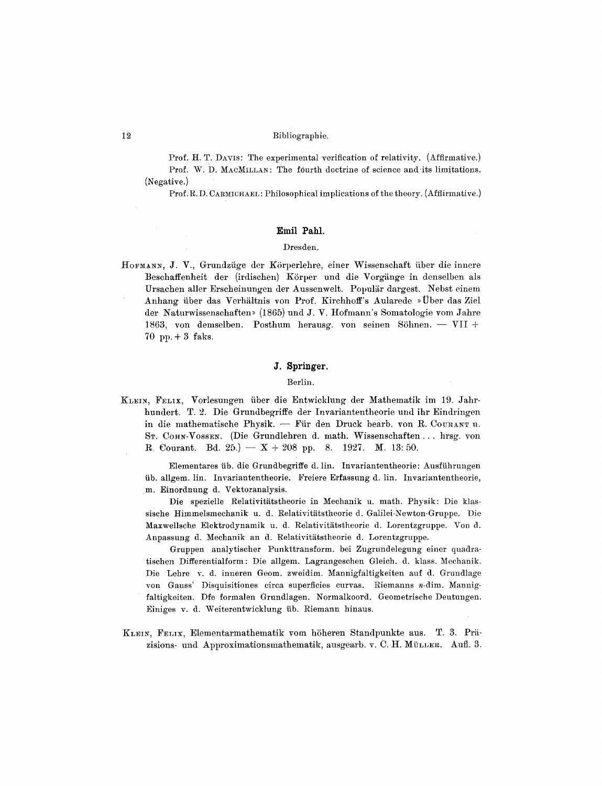Prof. H. T. DAVIS: The experimental verification of relativity. (Affirmative.) Prof. W. D. MACMILLAN: The fourth doctrine of science and its limitations. (Negative.)

Prof. R.D. CARMICHAEL: Philosophical implications of the theory. (Affiirmative.)

# Emil Pahl.

# Dresden.

HOFMANN, J. V., Grundzüge der Körperlehre, einer Wissenschaft über die innere Beschaffenheit der (irdischen) Körper und die Vorgänge in denselben als Ursachen aller Erscheinungen der Aussenwelt. Populär dargest. Nebst einem Anhang über das Verhältnis von Prof. Kirchhoff's Aularede » Über das Ziel der Naturwissenschaften» (1865) und J. V. Hofmann's Somatologie vom Jahre 1863, von demselben. Posthum herausg, von seinen Söhnen. - VII + 70 pp.  $+3$  faks.

# J. Springer.

### Berlin.

KLEIN, FELIX, Vorlesungen über die Entwicklung der Mathematik im 19. Jahrhundert. T. 2. Die Grundbegriffe der Invariantentheorie und ihr Eindringen in die mathematische Physik. - Für den Druck bearb. von R. COURANT u. ST. COHN-VOSSEN. (Die Grundlehren d. math. Wissenschaften ... hrsg. von R. Courant. Bd. 25.) -  $X + 208$  pp. 8. 1927. M. 13:50.

Elementares üb. die Grundbegriffe d. lin. Invariantentheorie: Ausführungen üb. allgem. lin. Invariantentheorie. Freiere Erfassung d. lin. Invariantentheorie, m. Einordnung d. Vektoranalysis.

Die spezielle Relativitätstheorie in Mechanik u. math. Physik: Die klassische Himmelsmechanik u. d. Relativitätstheorie d. Galilei-Newton-Gruppe. Die Maxwellsche Elektrodynamik u. d. Relativitätstheorie d. Lorentzgruppe. Von d. Anpassung d. Mechanik an d. Relativitätstheorie d. Lorentzgruppe.

Gruppen analytischer Punkttransform. bei Zugrundelegung einer quadratischen Differentialform: Die allgem. Lagrangeschen Gleich. d. klass. Mechanik. Die Lehre v. d. inneren Geom. zweidim. Mannigfaltigkeiten auf d. Grundlage von Gauss' Disquisitiones circa superficies curvas. Riemanns n-dim. Mannigfaltigkeiten. Dfe formalen Grundlagen. Normalkoord. Geometrische Deutungen. Einiges v. d. Weiterentwicklung üb. Riemann hinaus.

KLEIN, FELIX, Elementarmathematik vom höheren Standpunkte aus. T. 3. Präzisions- und Approximationsmathematik, ausgearb. v. C. H. MüLLER. Aufl. 3.

12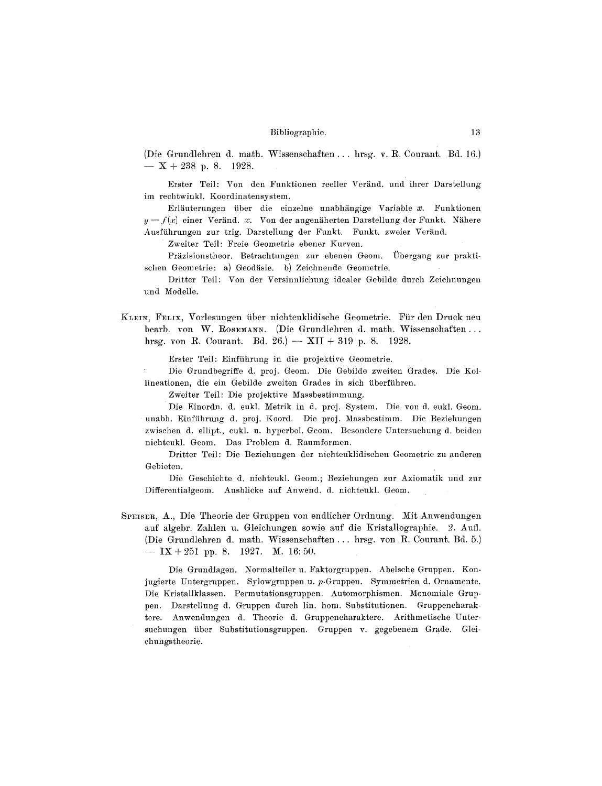(Die Grundlehren d. math. Wissenschaften ... hrsg. v. R. Courant. Bd. 16.)  $- X + 238$  p. 8. 1928.

Erster Teil: Von den Funktionen reeller Veränd, und ihrer Darstellung im rechtwinkl. Koordinatensystem.

Erläuterungen über die einzelne unabhängige Variable  $x$ . Funktionen  $y = f(x)$  einer Veränd. x. Von der angenäherten Darstellung der Funkt. Nähere Ausführungen zur trig. Darstellung der Funkt. Funkt. zweier Veränd.

Zweiter Teil: Freie Geometrie ebener Kurven.

Präzisionstheor. Betrachtungen zur ebenen Geom. Übergang zur praktischen Geometrie: a) Geodäsie. b) Zeichnende Geometrie.

Dritter Teil: Von der Versinnlichung idealer Gebilde durch Zeichnungen und Modelle.

KLEIN, FELIX, Vorlesungen über nichteuklidische Geometrie. Für den Druck neu bearb. von W. ROSEMANN. (Die Grundlehren d. math. Wissenschaften... hrsg. von R. Courant. Bd. 26.) - XII + 319 p. 8. 1928.

Erster Teil: Einführung in die projektive Geometrie.

Die Grundbegriffe d. proj. Geom. Die Gebilde zweiten Grades. Die Kollineationen, die ein Gebilde zweiten Grades in sich überführen.

Zweiter Teil: Die projektive Massbestimmung.

Die Einordn. d. eukl. Metrik in d. proj. System. Die von d. eukl. Geom. unabh. Einführung d. proj. Koord. Die proj. Massbestimm. Die Beziehungen zwischen d. ellipt., eukl. u. hyperbol. Geom. Besondere Untersuchung d. beiden nichteukl. Geom. Das Problem d. Raumformen.

Dritter Teil: Die Beziehungen der nichteuklidischen Geometrie zu anderen Gebieten.

Die Geschichte d. nichteukl. Geom.; Beziehungen zur Axiomatik und zur Differentialgeom. Ausblicke auf Anwend. d. nichteukl. Geom.

SPEISER, A., Die Theorie der Gruppen von endlicher Ordnung. Mit Anwendungen auf algebr. Zahlen u. Gleichungen sowie auf die Kristallographie. 2. Aufl. (Die Grundlehren d. math. Wissenschaften ... hrsg. von R. Courant. Bd. 5.) —  $IX + 251$  pp. 8. 1927. M. 16:50.

Die Grundlagen. Normalteiler u. Faktorgruppen. Abelsche Gruppen. Konjugierte Untergruppen. Sylowgruppen u. p.Gruppen. Symmetrien d. Ornamente. Die Kristallklassen. Permutationsgruppen. Automorphismen. Monomiale Gruppen. Darstellung d. Gruppen durch lin. hom. Substitutionen. Gruppencharaktere. Anwendungen d. Theorie d. Gruppencharaktere. Arithmetische Untersuchungen über Substitutionsgruppen. Gruppen v. gegebenem Grade. Gleichungstheorie.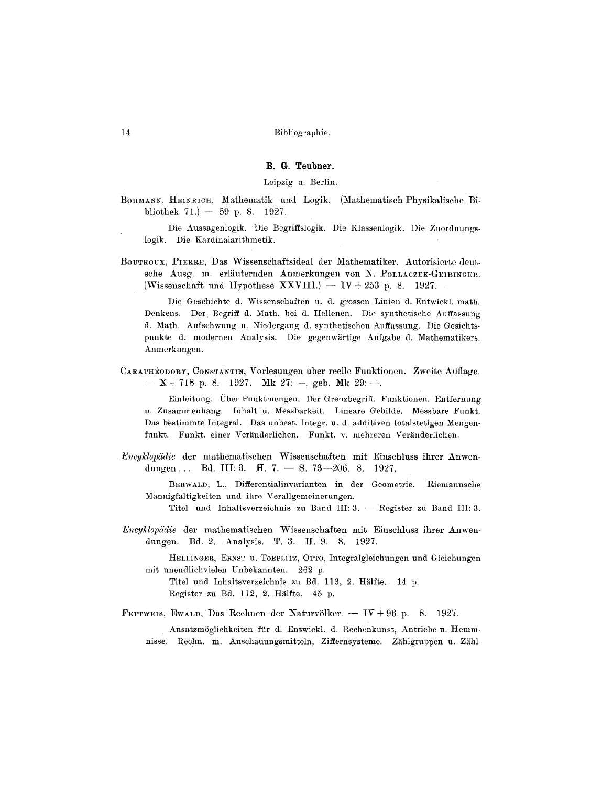# **B. G. Teubner.**

Leipzig u. Berlin.

BOHMANN, HEINRICH, Mathematik und Logik. (Mathematisch-Physikalische Bibliothek 71.)  $-59$  p. 8. 1927.

Die Aussagenlogik. Die Begriffslogik. Die Klassenlogik. Die Zuordnungslogik. Die Kardinalarithmetik.

BOUTROUX, PIERRE, Das Wissenschaftsideal der Mathematiker. Autorisierte deutsche Ausg. m. erläuternden Anmerkungen von N. POLLACZEK-GEIRINGER. (Wissenschaft und Hypothese XXVIII.)  $-$  IV + 253 p. 8. 1927.

Die Geschichte d. Wissenschaften u. d. grossen Linien d. Entwiekl. math. Denkens. Der Begriff d. Math. bei d. Hellenen. Die synthetische Auffassung d. Math. Aufschwnng u. Niedergang d. synthetischen Auffassung. Die Gesichtspunkte d. modernen Analysis. Die gegenwärtige Aufgabe d. Mathematikers. Anmerkungen.

CARATHÉODORY, CONSTANTIN, Vorlesungen über reelle Funktionen. Zweite Auflage.  $- X + 718$  p. 8. 1927. Mk 27:--, geb. Mk 29:--

Einleitung. Über Punktmengen. Der Grenzbegriff. Funktionen. Entfernung u. Zusammenhang. Inhalt u. Messbarkeit. Lineare Gebilde. Messbare Funkt. Das bestimmte Integral. Das unbest. Integr. u. d. additiven totalstetigen Mengenfunkt. Funkt. einer Veränderlichen. Funkt. v. mehreren Veränderlichen.

*Encyklopddie* der mathematischen Wissenschaften mit Einschluss ihrer Anwendungen... Bd. III: 3. H. 7.  $-$  S. 73 $-206$ . 8. 1927.

BERWALD, L., Differentialinvarianten in der Geometrie. Riemannsche Mannigfaltigkeiten und ihre Verallgemeinerungen.

Titel und Inhaltsverzeichnis zu Band III: 3. -- Register zu Band III: 3.

*LSwyklopddie* der mathematisehen Wissensehaften mit Einsehluss ihrer Anwendungen. Bd. 2. Analysis. T. 3. H. 9. 8. 1927.

HELLINGER, ERNST u. TOEPLITZ, OTTO, Integralgleichungen und Gleichungen mit unendlichvielen Unbekannten. 262 p.

Titel und Inhaltsverzeiehnis zu Bd. 113, 9. Hiilfte. 14 p. Register zu Bd. 112, 2. Hälfte. 45 p.

FETTWEIS, EWALD, Das Rechnen der Naturvölker.  $-$  IV + 96 p. 8. 1927.

Ansatzmöglichkeiten für d. Entwickl. d. Rechenkunst, Antriebe u. Hemmnisse. Rechn. m. Anschauungsmitteln, Ziffernsysteme. Zählgruppen u. Zähl-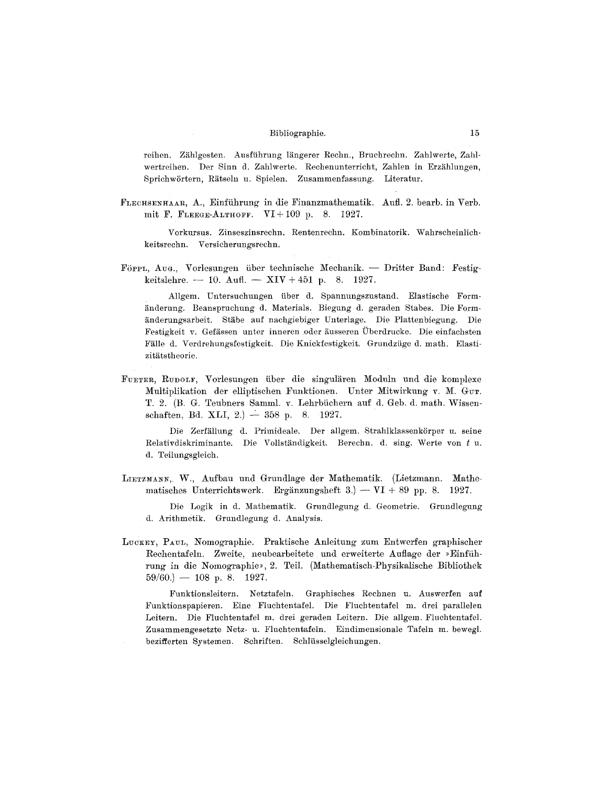reihen. Zählgesten. Ausführung längerer Rechn., Bruchrechn. Zahlwerte, Zahlwertreihen. Der Sinn d. Zahlwerte. Rechenunterricht, Zahlen in Erzählungen, Sprichwörtern, Rätseln u. Spielen. Zusammenfassung. Literatur.

FLECHSENHAAR, A., Einführung in die Finanzmathematik. Aufl. 2. bearb. in Verb. mit F. FLEEGE-ALTHOFF. VI+109 p. 8. 1927.

Vorkursus. Zinseszinsrechn. Rentenrechn. Kombinatorik. Wahrscheinlichkeitsrechn. Versicherungsrechn.

Förru, Aug., Vorlesungen über technische Mechanik. - Dritter Band: Festigkeitslehre. -- 10. Aufl. -- XIV + 451 p. 8. 1927.

Allgem. Untersuchungen über d. Spannungszustand. Elastische Formänderung. Beanspruchung d. Materials. Biegung d. geraden Stabes. Die Formänderungsarbeit. Stäbe auf nachgiebiger Unterlage. Die Plattenbiegung. Die Festigkeit v. Gefässen unter inneren oder äusseren Überdrucke. Die einfachsten Fälle d. Verdrehungsfestigkeit. Die Knickfestigkeit. Grundzüge d. math. Elastizitätstheorie.

FUETER, RUDOLF, Vorlesungen über die singulären Moduln und die komplexe Multiplikation der elliptischen Funktionen. Unter Mitwirkung v. M. Gur. T. 2. (B. G. Teubners Samml. v. Lehrbüchern auf d. Geb. d. math. Wissenschaften, Bd. XLI, 2.)  $-358$  p. 8. 1927.

Die Zerfällung d. Primideale. Der allgem. Strahlklassenkörper u. seine Relativdiskriminante. Die Vollständigkeit. Berechn. d. sing. Werte von t u. d. Teilungsgleich.

LIETZMANN, W., Aufbau und Grundlage der Mathematik. (Lietzmann. Mathematisches Unterrichtswerk. Ergänzungsheft 3.) -- VI + 89 pp. 8. 1927.

Die Logik in d. Mathematik. Grundlegung d. Geometrie. Grundlegung d. Arithmetik. Grundlegung d. Analysis.

LUCKEY, PAUL, Nomographie. Praktische Anleitung zum Entwerfen graphischer Rechentafeln. Zweite, neubearbeitete und erweiterte Auflage der »Einführung in die Nomographie», 2. Teil. (Mathematisch-Physikalische Bibliothek  $59/60.$  – 108 p. 8. 1927.

Funktionsleitern. Netztafeln. Graphisches Rechnen u. Auswerfen auf Funktionspapieren. Eine Fluchtentafel. Die Fluchtentafel m. drei parallelen Leitern. Die Fluchtentafel m. drei geraden Leitern. Die allgem. Fluchtentafel. Zusammengesetzte Netz- u. Fluchtentafeln. Eindimensionale Tafeln m. bewegl. bezifferten Systemen. Schriften. Schlüsselgleichungen.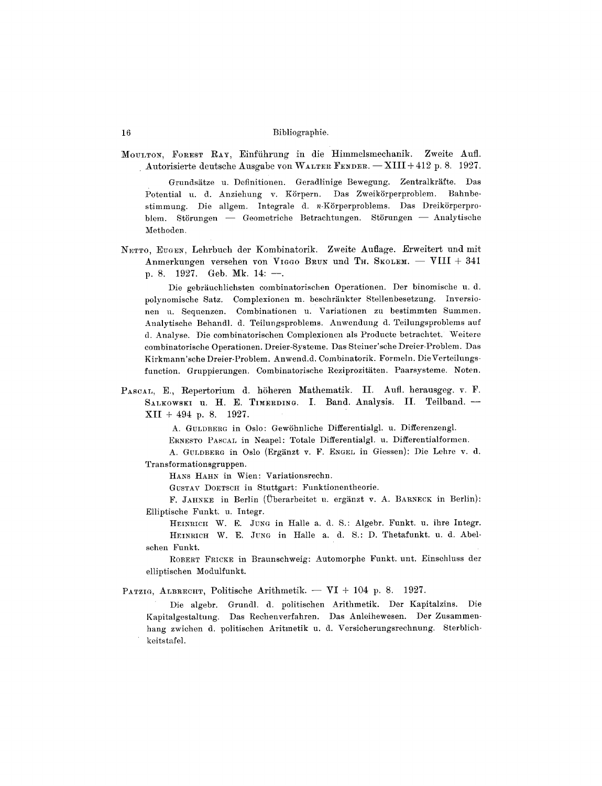MOULTON, FOREST RAY, Einführung in die Himmelsmechanik. Zweite Aufl. Autorisierte deutsche Ausgabe von WALTER FENDER. - XIII + 412 p. 8. 1927.

Grundsätze u. Definitionen. Geradlinige Bewegung. Zentralkräfte. Das Potential u. d. Anziehung v. Körpern. Das Zweikörperproblem. Bahnbestimmung. Die allgem. Integrale d. n-Körperproblems. Das Dreikörperproblem. Störungen — Geometriche Betrachtungen. Störungen — Analytische Methoden.

NETTO, EUGEN, Lehrbuch der Kombinatorik. Zweite Auflage. Erweitert und mit Anmerkungen versehen von VIGGO BRUN und TH. SKOLEM. - VIII + 341 p. 8. 1927. Geb. Mk. 14: --

Die gebräuchlichsten combinatorischen Operationen. Der binomische u. d. polynomische Satz. Complexionen m. beschränkter Stellenbesetzung. Inversionen u. Sequenzen. Combinationen u. Variationen zu bestimmten Summen. Analytische Behandl. d. Teilungsproblems. Anwendung d. Teilungsproblems auf d. Analyse. Die combinatorischen Complexionen als Producte betrachtet. Weitere combinatorische Operationen. Dreier-Systeme. Das Steiner'sche Dreier-Problem. Das Kirkmann'sche Dreier-Problem. Anwend.d. Combinatorik. Formeln. Die Verteilungsfunction. Gruppierungen. Combinatorische Reziprozitäten. Paarsysteme. Noten.

PASCAL, E., Repertorium d. höheren Mathematik. II. Aufl. herausgeg. v. F. SALKOWSKI U. H. E. TIMERDING. I. Band. Analysis. II. Teilband. - $XII + 494$  p. 8. 1927.

A. GULDBERG in Oslo: Gewöhnliche Differentialgl. u. Differenzengl.

ERNESTO PASCAL in Neapel: Totale Differentialgl. u. Differentialformen.

A. GULDBERG in Oslo (Ergänzt v. F. ENGEL in Giessen): Die Lehre v. d. Transformationsgruppen.

HANS HAHN in Wien: Variationsrechn.

GUSTAV DOETSCH in Stuttgart: Funktionentheorie.

F. JAHNKE in Berlin (Überarbeitet u. ergänzt v. A. BARNECK in Berlin): Elliptische Funkt. u. Integr.

HEINRICH W. E. JUNG in Halle a. d. S.: Algebr. Funkt. u. ihre Integr. HEINRICH W. E. JUNG in Halle a. d. S.: D. Thetafunkt. u. d. Abelschen Funkt.

ROBERT FRICKE in Braunschweig: Automorphe Funkt. unt. Einschluss der elliptischen Modulfunkt.

PATZIG, ALBRECHT, Politische Arithmetik. - VI + 104 p. 8. 1927.

Die algebr. Grundl. d. politischen Arithmetik. Der Kapitalzins. Die Kapitalgestaltung. Das Rechenverfahren. Das Anleihewesen. Der Zusammenhang zwichen d. politischen Aritmetik u. d. Versicherungsrechnung. Sterblichkeitstafel.

16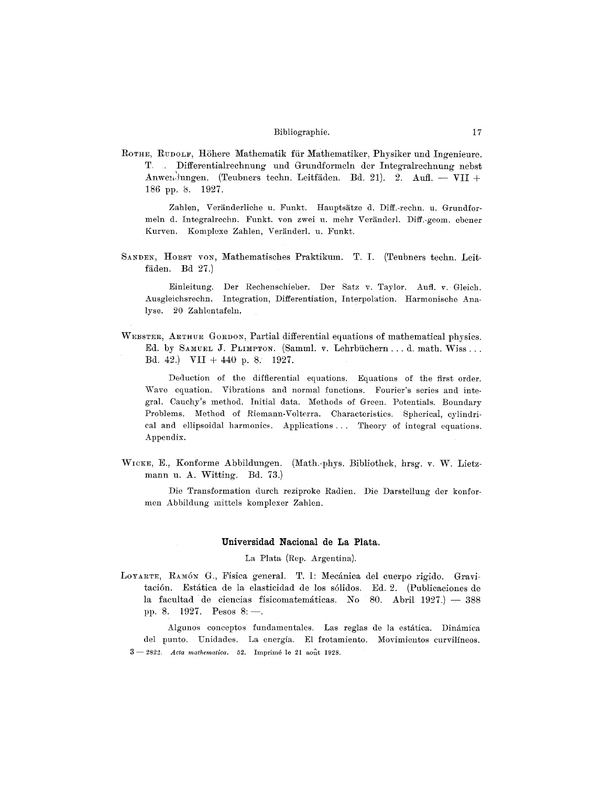ROTHE, RUDOLF, Höhere Mathematik für Mathematiker, Physiker und Ingenieure. T. Differentialrechnung und Grundformeln der Integralrechnung nebst Anwendungen. (Teubners techn. Leitfäden. Bd. 21). 2. Aufl. - VII + 186 pp. 8. 1927.

Zahlen, Veränderliche u. Funkt. Hauptsätze d. Diff.-rechn. u. Grundformeln d. Integralrechn. Funkt. von zwei u. mehr Veränderl. Diff.-geom. ebener Kurven. Komplexe Zahlen, Veränderl. u. Funkt.

SANDEN, HORST VON, Mathematisches Praktikum. T. I. (Teubners techn. Leitfäden. Bd 27.)

Der Rechenschieber. Der Satz v. Taylor. Aufl. v. Gleich. Einleitung. Ausgleichsrechn. Integration, Differentiation, Interpolation. Harmonische Analyse. 20 Zahlentafeln.

WEBSTER, ARTHUR GORDON, Partial differential equations of mathematical physics. Ed. by SAMUEL J. PLIMPTON. (Samml. v. Lehrbüchern...d. math. Wiss... Bd. 42.) VII + 440 p. 8. 1927.

Deduction of the diffierential equations. Equations of the first order. Wave equation. Vibrations and normal functions. Fourier's series and integral. Cauchy's method. Initial data. Methods of Green. Potentials. Boundary Problems. Method of Riemann-Volterra. Characteristics. Spherical, cylindrical and ellipsoidal harmonics. Applications ... Theory of integral equations. Appendix.

WICKE, E., Konforme Abbildungen. (Math.-phys. Bibliothek, hrsg. v. W. Lietzmann u. A. Witting. Bd. 73.)

Die Transformation durch reziproke Radien. Die Darstellung der konformen Abbildung mittels komplexer Zahlen.

# Universidad Nacional de La Plata.

#### La Plata (Rep. Argentina).

LOYARTE, RAMÓN G., Física general. T. l: Mecánica del cuerpo rigido. Gravitación. Estática de la elasticidad de los sólidos. Ed. 2. (Publicaciones de la facultad de ciencias físicomatemáticas. No 80. Abril  $1927$ .) - 388 pp. 8. 1927. Pesos 8: -

Algunos conceptos fundamentales. Las reglas de la estática. Dinámica del punto. Unidades. La energía. El frotamiento. Movimientos curvilíneos.  $3 - 2822$ . Acta mathematica. 52. Imprimé le 21 août 1928.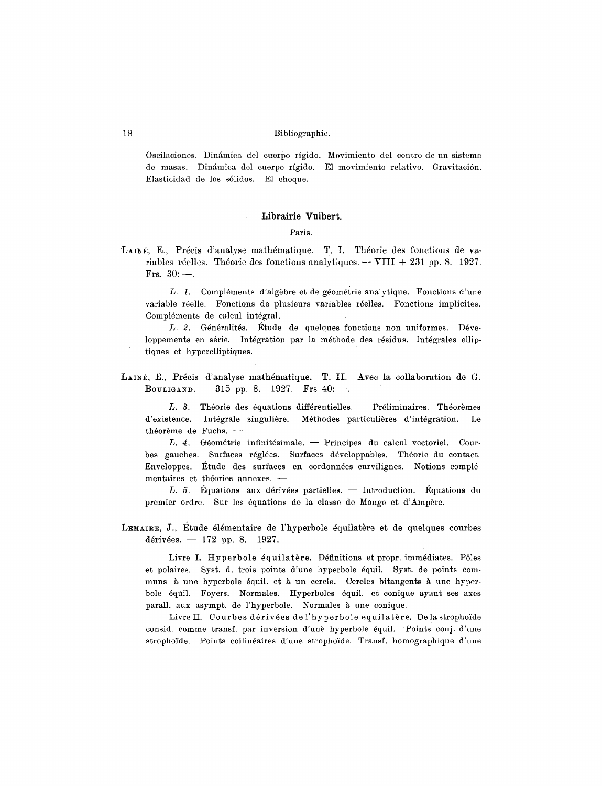Oscilaciones. Dinámica del cuerpo rígido. Movimiento del centro de un sistema de masas. Dinámica del cuerpo rígido. El movimiento relativo. Gravitación. Elasticidad de los sólidos. El choque.

# Librairie Vuibert.

Paris.

LAINÉ, E., Précis d'analyse mathématique. T. I. Théorie des fonctions de variables réelles. Théorie des fonctions analytiques.  $-$  VIII + 231 pp. 8. 1927. Frs.  $30:$  -

L. 1. Compléments d'algèbre et de géométrie analytique. Fonctions d'une variable réelle. Fonctions de plusieurs variables réelles. Fonctions implicites. Compl6ments de calcul integral.

L. 2. Généralités. Étude de quelques fonctions non uniformes. Développements en série. Intégration par la méthode des résidus. Intégrales elliptiques et hyperelliptiques.

LAINÉ, E., Précis d'analyse mathématique. T. II. Avec la collaboration de G. BOULIGAND. - 315 pp. 8. 1927. Frs 40:-

 $L. 3.$  Théorie des équations différentielles. -- Préliminaires. Théorèmes d'existence. Intégrale singulière. Méthodes particulières d'intégration. Le théorème de Fuchs.  $-$ 

L. 4. Géométrie infinitésimale. -- Principes du calcul vectoriel. Courbes gauches. Surfaces réglées. Surfaces développables. Théorie du contact. Enveloppes. Étude des surfaces en cordonnées curvilignes. Notions complémentaires et théories annexes. -

L. 5. Equations aux dérivées partielles. -- Introduction. Equations du premier ordre. Sur les équations de la classe de Monge et d'Ampère.

LEMAIRE, J., Étude élémentaire de l'hyperbole équilatère et de quelques courbes dérivées.  $- 172$  pp. 8. 1927.

Livre I. Hyperbole équilatère. Définitions et propr. immédiates. Pôles et polaires. Syst. d. trois points d'une hyperbole dquil. Syst. de points communs à une hyperbole équil. et à un cercle. Cercles bitangents à une hyperbole équil. Foyers. Normales. Hyperboles équil. et conique ayant ses axes parall. aux asympt. de l'hyperbole. Normales à une conique.

Livre II. Courbes dérivées de l'hyperbole equilatère. De la strophoïde consid, cemme transf, par inversion d'une hyperbole 6quil. Points conj. d'une strophoïde. Points collinéaires d'une strophoïde. Transf. homographique d'une